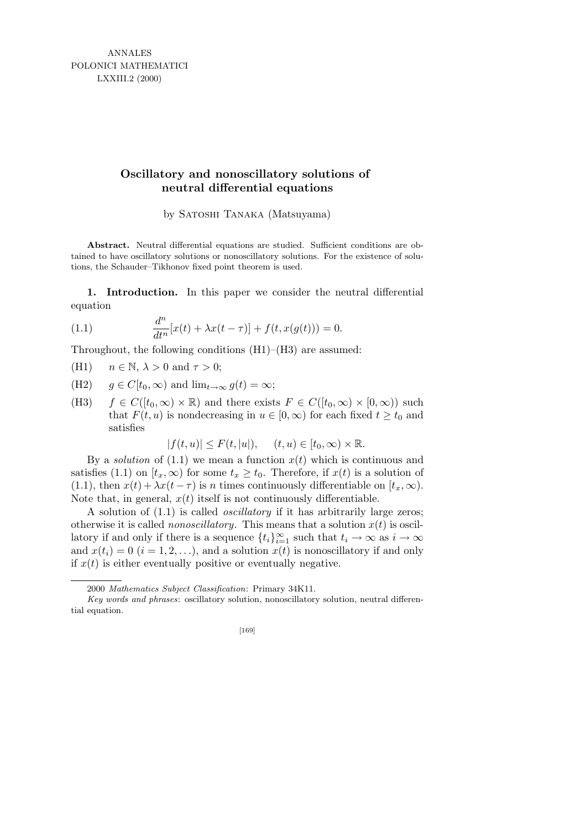ANNALES POLONICI MATHEMATICI LXXIII.2 (2000)

## **Oscillatory and nonoscillatory solutions of neutral differential equations**

by Satoshi Tanaka (Matsuyama)

**Abstract.** Neutral differential equations are studied. Sufficient conditions are obtained to have oscillatory solutions or nonoscillatory solutions. For the existence of solutions, the Schauder–Tikhonov fixed point theorem is used.

1. Introduction. In this paper we consider the neutral differential equation

(1.1) 
$$
\frac{d^n}{dt^n}[x(t) + \lambda x(t-\tau)] + f(t, x(g(t))) = 0.
$$

Throughout, the following conditions (H1)–(H3) are assumed:

(H1)  $n \in \mathbb{N}, \lambda > 0 \text{ and } \tau > 0$ ;

- (H2)  $q \in C[t_0, \infty)$  and  $\lim_{t \to \infty} q(t) = \infty$ ;
- (H3)  $f \in C([t_0,\infty) \times \mathbb{R})$  and there exists  $F \in C([t_0,\infty) \times [0,\infty))$  such that  $F(t, u)$  is nondecreasing in  $u \in [0, \infty)$  for each fixed  $t \ge t_0$  and satisfies

 $|f(t, u)| \leq F(t, |u|), \quad (t, u) \in [t_0, \infty) \times \mathbb{R}.$ 

By a *solution* of  $(1.1)$  we mean a function  $x(t)$  which is continuous and satisfies (1.1) on  $[t_x, \infty)$  for some  $t_x \geq t_0$ . Therefore, if  $x(t)$  is a solution of (1.1), then  $x(t) + \lambda x(t - \tau)$  is n times continuously differentiable on  $[t_x, \infty)$ . Note that, in general,  $x(t)$  itself is not continuously differentiable.

A solution of (1.1) is called oscillatory if it has arbitrarily large zeros; otherwise it is called *nonoscillatory*. This means that a solution  $x(t)$  is oscillatory if and only if there is a sequence  $\{t_i\}_{i=1}^{\infty}$  such that  $t_i \to \infty$  as  $i \to \infty$ and  $x(t_i) = 0$   $(i = 1, 2, ...)$ , and a solution  $x(t)$  is nonoscillatory if and only if  $x(t)$  is either eventually positive or eventually negative.

<sup>2000</sup> *Mathematics Subject Classification*: Primary 34K11.

*Key words and phrases*: oscillatory solution, nonoscillatory solution, neutral differential equation.

<sup>[169]</sup>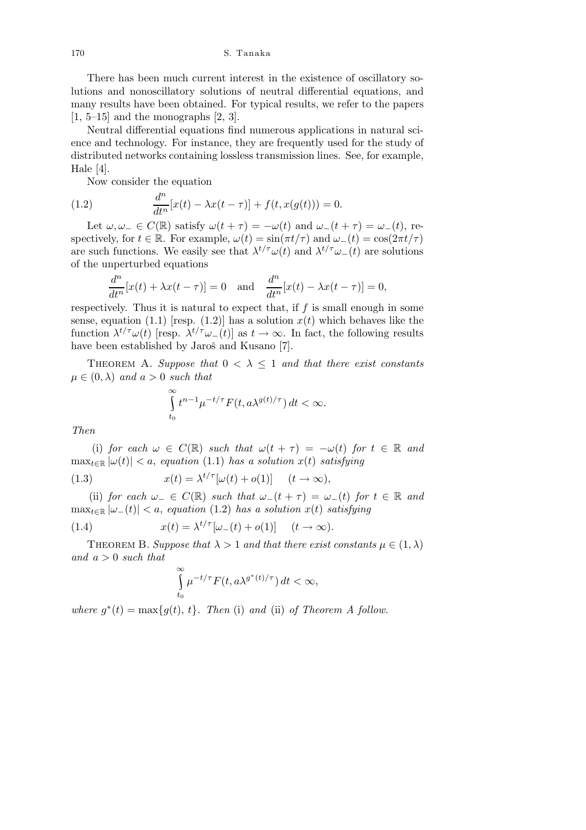There has been much current interest in the existence of oscillatory solutions and nonoscillatory solutions of neutral differential equations, and many results have been obtained. For typical results, we refer to the papers  $[1, 5-15]$  and the monographs  $[2, 3]$ .

Neutral differential equations find numerous applications in natural science and technology. For instance, they are frequently used for the study of distributed networks containing lossless transmission lines. See, for example, Hale [4].

Now consider the equation

(1.2) 
$$
\frac{d^n}{dt^n}[x(t) - \lambda x(t-\tau)] + f(t, x(g(t))) = 0.
$$

Let  $\omega, \omega_-\in C(\mathbb{R})$  satisfy  $\omega(t+\tau)=-\omega(t)$  and  $\omega_-(t+\tau)=\omega_-(t)$ , respectively, for  $t \in \mathbb{R}$ . For example,  $\omega(t) = \sin(\pi t/\tau)$  and  $\omega_-(t) = \cos(2\pi t/\tau)$ are such functions. We easily see that  $\lambda^{t/\tau}\omega(t)$  and  $\lambda^{t/\tau}\omega_{-}(t)$  are solutions of the unperturbed equations

$$
\frac{d^n}{dt^n}[x(t) + \lambda x(t-\tau)] = 0 \text{ and } \frac{d^n}{dt^n}[x(t) - \lambda x(t-\tau)] = 0,
$$

respectively. Thus it is natural to expect that, if  $f$  is small enough in some sense, equation (1.1) [resp. (1.2)] has a solution  $x(t)$  which behaves like the function  $\lambda^{t/\tau}\omega(t)$  [resp.  $\lambda^{t/\tau}\omega_{-}(t)$ ] as  $t\to\infty$ . In fact, the following results have been established by Jaroš and Kusano [7].

THEOREM A. Suppose that  $0 < \lambda \leq 1$  and that there exist constants  $\mu \in (0, \lambda)$  and  $a > 0$  such that

$$
\int_{t_0}^{\infty} t^{n-1} \mu^{-t/\tau} F(t, a\lambda^{g(t)/\tau}) dt < \infty.
$$

Then

(i) for each  $\omega \in C(\mathbb{R})$  such that  $\omega(t + \tau) = -\omega(t)$  for  $t \in \mathbb{R}$  and  $\max_{t \in \mathbb{R}} |\omega(t)| < a$ , equation (1.1) has a solution  $x(t)$  satisfying

(1.3) 
$$
x(t) = \lambda^{t/\tau} [\omega(t) + o(1)] \quad (t \to \infty),
$$

(ii) for each  $\omega_-\in C(\mathbb{R})$  such that  $\omega_-(t+\tau)=\omega_-(t)$  for  $t\in\mathbb{R}$  and  $\max_{t \in \mathbb{R}} |\omega_{-}(t)| < a$ , equation (1.2) has a solution  $x(t)$  satisfying

(1.4) 
$$
x(t) = \lambda^{t/\tau} [\omega_-(t) + o(1)] \quad (t \to \infty).
$$

THEOREM B. Suppose that  $\lambda > 1$  and that there exist constants  $\mu \in (1, \lambda)$ and  $a > 0$  such that

$$
\int_{t_0}^{\infty} \mu^{-t/\tau} F(t, a\lambda^{g^*(t)/\tau}) dt < \infty,
$$

where  $g^*(t) = \max\{g(t), t\}$ . Then (i) and (ii) of Theorem A follow.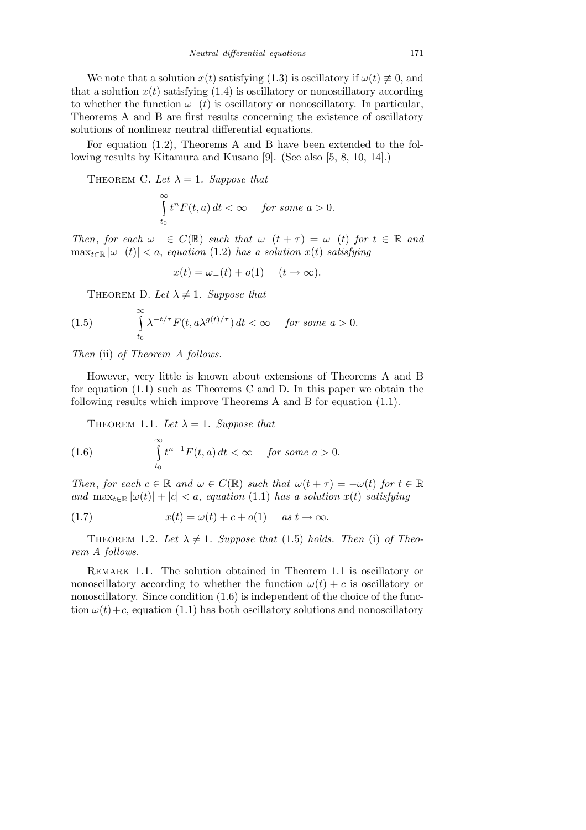We note that a solution  $x(t)$  satisfying (1.3) is oscillatory if  $\omega(t) \neq 0$ , and that a solution  $x(t)$  satisfying (1.4) is oscillatory or nonoscillatory according to whether the function  $\omega_{-}(t)$  is oscillatory or nonoscillatory. In particular, Theorems A and B are first results concerning the existence of oscillatory solutions of nonlinear neutral differential equations.

For equation (1.2), Theorems A and B have been extended to the following results by Kitamura and Kusano [9]. (See also [5, 8, 10, 14].)

THEOREM C. Let  $\lambda = 1$ . Suppose that

$$
\int_{t_0}^{\infty} t^n F(t, a) dt < \infty \quad \text{ for some } a > 0.
$$

Then, for each  $\omega_-\in C(\mathbb{R})$  such that  $\omega_-(t+\tau)=\omega_-(t)$  for  $t\in\mathbb{R}$  and  $\max_{t \in \mathbb{R}} |\omega_{-}(t)| < a$ , equation (1.2) has a solution  $x(t)$  satisfying

$$
x(t) = \omega_-(t) + o(1) \quad (t \to \infty).
$$

THEOREM D. Let  $\lambda \neq 1$ . Suppose that

(1.5) 
$$
\int_{t_0}^{\infty} \lambda^{-t/\tau} F(t, a\lambda^{g(t)/\tau}) dt < \infty \quad \text{for some } a > 0.
$$

Then (ii) of Theorem A follows.

∞

However, very little is known about extensions of Theorems A and B for equation (1.1) such as Theorems C and D. In this paper we obtain the following results which improve Theorems A and B for equation (1.1).

THEOREM 1.1. Let  $\lambda = 1$ . Suppose that

(1.6) 
$$
\int_{t_0}^{\infty} t^{n-1} F(t, a) dt < \infty \quad \text{for some } a > 0.
$$

Then, for each  $c \in \mathbb{R}$  and  $\omega \in C(\mathbb{R})$  such that  $\omega(t + \tau) = -\omega(t)$  for  $t \in \mathbb{R}$ and  $\max_{t \in \mathbb{R}} |\omega(t)| + |c| < a$ , equation (1.1) has a solution  $x(t)$  satisfying

(1.7) 
$$
x(t) = \omega(t) + c + o(1) \quad \text{as } t \to \infty.
$$

THEOREM 1.2. Let  $\lambda \neq 1$ . Suppose that (1.5) holds. Then (i) of Theorem A follows.

REMARK 1.1. The solution obtained in Theorem 1.1 is oscillatory or nonoscillatory according to whether the function  $\omega(t) + c$  is oscillatory or nonoscillatory. Since condition  $(1.6)$  is independent of the choice of the function  $\omega(t)+c$ , equation (1.1) has both oscillatory solutions and nonoscillatory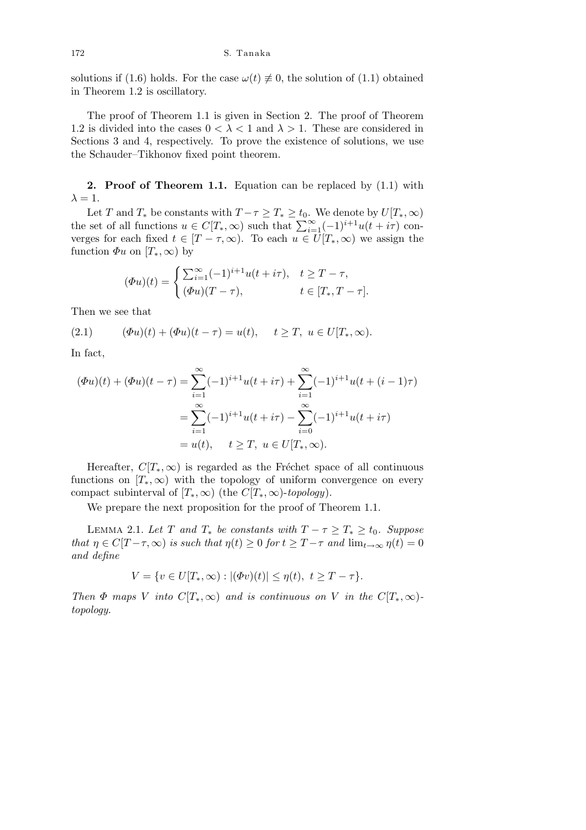solutions if (1.6) holds. For the case  $\omega(t) \neq 0$ , the solution of (1.1) obtained in Theorem 1.2 is oscillatory.

The proof of Theorem 1.1 is given in Section 2. The proof of Theorem 1.2 is divided into the cases  $0 < \lambda < 1$  and  $\lambda > 1$ . These are considered in Sections 3 and 4, respectively. To prove the existence of solutions, we use the Schauder–Tikhonov fixed point theorem.

2. Proof of Theorem 1.1. Equation can be replaced by  $(1.1)$  with  $\lambda = 1$ .

Let T and  $T_*$  be constants with  $T - \tau \ge T_* \ge t_0$ . We denote by  $U[T_*,\infty)$ the set of all functions  $u \in C[T_*,\infty)$  such that  $\sum_{i=1}^{\infty}(-1)^{i+1}u(t+i\tau)$  converges for each fixed  $t \in [T - \tau, \infty)$ . To each  $u \in U[T_*, \infty)$  we assign the function  $\Phi u$  on  $[T_*,\infty)$  by

$$
(\Phi u)(t) = \begin{cases} \sum_{i=1}^{\infty} (-1)^{i+1} u(t+i\tau), & t \geq T-\tau, \\ (\Phi u)(T-\tau), & t \in [T_*, T-\tau]. \end{cases}
$$

Then we see that

(2.1) 
$$
(\Phi u)(t) + (\Phi u)(t - \tau) = u(t), \quad t \geq T, \ u \in U[T_*, \infty).
$$

In fact,

$$
(\Phi u)(t) + (\Phi u)(t - \tau) = \sum_{i=1}^{\infty} (-1)^{i+1} u(t + i\tau) + \sum_{i=1}^{\infty} (-1)^{i+1} u(t + (i-1)\tau)
$$
  
= 
$$
\sum_{i=1}^{\infty} (-1)^{i+1} u(t + i\tau) - \sum_{i=0}^{\infty} (-1)^{i+1} u(t + i\tau)
$$
  
= 
$$
u(t), \quad t \geq T, \ u \in U[T_*, \infty).
$$

Hereafter,  $C[T_*,\infty)$  is regarded as the Fréchet space of all continuous functions on  $[T_*,\infty)$  with the topology of uniform convergence on every compact subinterval of  $[T_*,\infty)$  (the  $C[T_*,\infty)$ -topology).

We prepare the next proposition for the proof of Theorem 1.1.

LEMMA 2.1. Let T and  $T_*$  be constants with  $T - \tau \geq T_* \geq t_0$ . Suppose that  $\eta \in C[T-\tau,\infty)$  is such that  $\eta(t) \geq 0$  for  $t \geq T-\tau$  and  $\lim_{t \to \infty} \eta(t) = 0$ and define

$$
V=\{v\in U[T_*,\infty): |(\varPhi v)(t)|\leq \eta(t),\ t\geq T-\tau\}.
$$

Then  $\Phi$  maps V into  $C[T_*,\infty)$  and is continuous on V in the  $C[T_*,\infty)$ topology.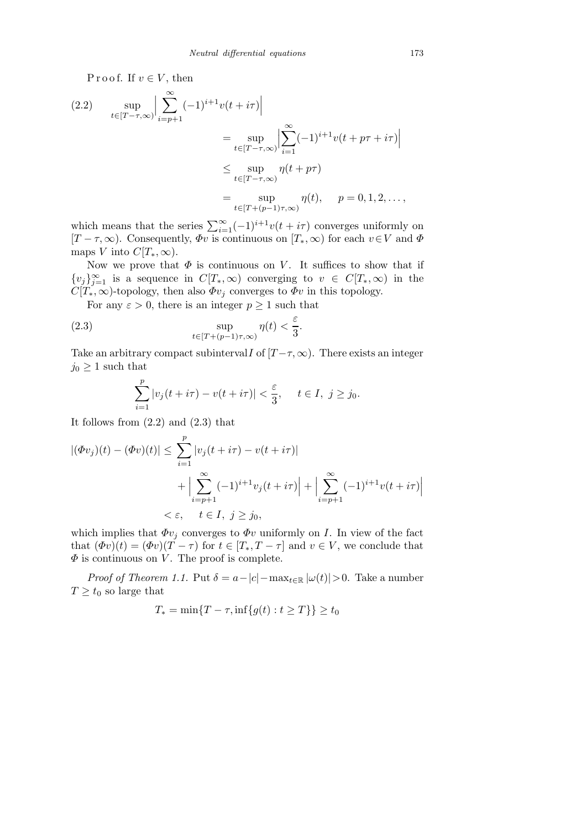P r o o f. If  $v \in V$ , then

(2.2) 
$$
\sup_{t \in [T-\tau,\infty)} \Big| \sum_{i=p+1}^{\infty} (-1)^{i+1} v(t+i\tau) \Big|
$$
  
\n
$$
= \sup_{t \in [T-\tau,\infty)} \Big| \sum_{i=1}^{\infty} (-1)^{i+1} v(t+p\tau+i\tau) \Big|
$$
  
\n
$$
\leq \sup_{t \in [T-\tau,\infty)} \eta(t+p\tau)
$$
  
\n
$$
= \sup_{t \in [T+(p-1)\tau,\infty)} \eta(t), \quad p = 0, 1, 2, \dots,
$$

which means that the series  $\sum_{i=1}^{\infty}(-1)^{i+1}v(t+i\tau)$  converges uniformly on  $[T - \tau, \infty)$ . Consequently,  $\Phi v$  is continuous on  $[T_*, \infty)$  for each  $v \in V$  and  $\Phi$ maps V into  $C[T_*,\infty)$ .

Now we prove that  $\Phi$  is continuous on V. It suffices to show that if  ${v_j}_{j=1}^{\infty}$  is a sequence in  $C[T_*,\infty)$  converging to  $v \in C[T_*,\infty)$  in the  $C[T_*,\infty)$ -topology, then also  $\Phi v_j$  converges to  $\Phi v$  in this topology.

For any  $\varepsilon > 0$ , there is an integer  $p \ge 1$  such that

(2.3) 
$$
\sup_{t \in [T + (p-1)\tau, \infty)} \eta(t) < \frac{\varepsilon}{3}.
$$

Take an arbitrary compact subinterval I of  $[T-\tau,\infty)$ . There exists an integer  $j_0 \geq 1$  such that

$$
\sum_{i=1}^p |v_j(t+i\tau)-v(t+i\tau)| < \frac{\varepsilon}{3}, \quad t \in I, \ j \ge j_0.
$$

It follows from  $(2.2)$  and  $(2.3)$  that

$$
|(\Phi v_j)(t) - (\Phi v)(t)| \le \sum_{i=1}^p |v_j(t + i\tau) - v(t + i\tau)|
$$
  
+ 
$$
\Big| \sum_{i=p+1}^\infty (-1)^{i+1} v_j(t + i\tau) \Big| + \Big| \sum_{i=p+1}^\infty (-1)^{i+1} v(t + i\tau) \Big|
$$
  

$$
< \varepsilon, \quad t \in I, \ j \ge j_0,
$$

which implies that  $\Phi v_j$  converges to  $\Phi v$  uniformly on I. In view of the fact that  $(\Phi v)(t) = (\Phi v)(T - \tau)$  for  $t \in [T_*, T - \tau]$  and  $v \in V$ , we conclude that  $\Phi$  is continuous on V. The proof is complete.

*Proof of Theorem 1.1.* Put  $\delta = a - |c| - \max_{t \in \mathbb{R}} |\omega(t)| > 0$ . Take a number  $T \geq t_0$  so large that

$$
T_* = \min\{T - \tau, \inf\{g(t) : t \ge T\}\} \ge t_0
$$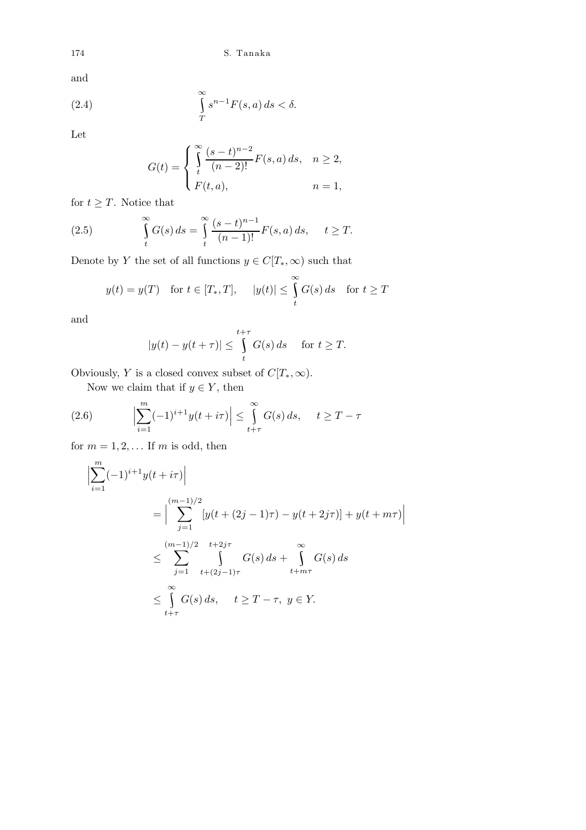and

(2.4) 
$$
\int_{T}^{\infty} s^{n-1} F(s, a) ds < \delta.
$$

Let

$$
G(t) = \begin{cases} \int_{t}^{\infty} \frac{(s-t)^{n-2}}{(n-2)!} F(s, a) ds, & n \ge 2, \\ F(t, a), & n = 1, \end{cases}
$$

for  $t \geq T$ . Notice that

(2.5) 
$$
\int_{t}^{\infty} G(s) ds = \int_{t}^{\infty} \frac{(s-t)^{n-1}}{(n-1)!} F(s, a) ds, \quad t \geq T.
$$

Denote by  $Y$  the set of all functions  $y\in C[T_*,\infty)$  such that

$$
y(t) = y(T)
$$
 for  $t \in [T_*, T]$ ,  $|y(t)| \le \int_t^{\infty} G(s) ds$  for  $t \ge T$ 

and

$$
|y(t) - y(t + \tau)| \le \int_{t}^{t + \tau} G(s) \, ds \quad \text{ for } t \ge T.
$$

Obviously, Y is a closed convex subset of  $C[T_*,\infty)$ .

Now we claim that if  $y \in Y$ , then

(2.6) 
$$
\left|\sum_{i=1}^m (-1)^{i+1} y(t+i\tau)\right| \leq \int_{t+\tau}^{\infty} G(s) ds, \quad t \geq T-\tau
$$

for  $m = 1, 2, \dots$  If m is odd, then

$$
\left| \sum_{i=1}^{m} (-1)^{i+1} y(t+i\tau) \right|
$$
  
= 
$$
\left| \sum_{j=1}^{(m-1)/2} \left[ y(t+(2j-1)\tau) - y(t+2j\tau) \right] + y(t+m\tau) \right|
$$
  

$$
\leq \sum_{j=1}^{(m-1)/2} \sum_{t+2j\tau}^{t+2j\tau} G(s) ds + \int_{t+m\tau}^{\infty} G(s) ds
$$
  

$$
\leq \int_{t+\tau}^{\infty} G(s) ds, \quad t \geq T-\tau, \ y \in Y.
$$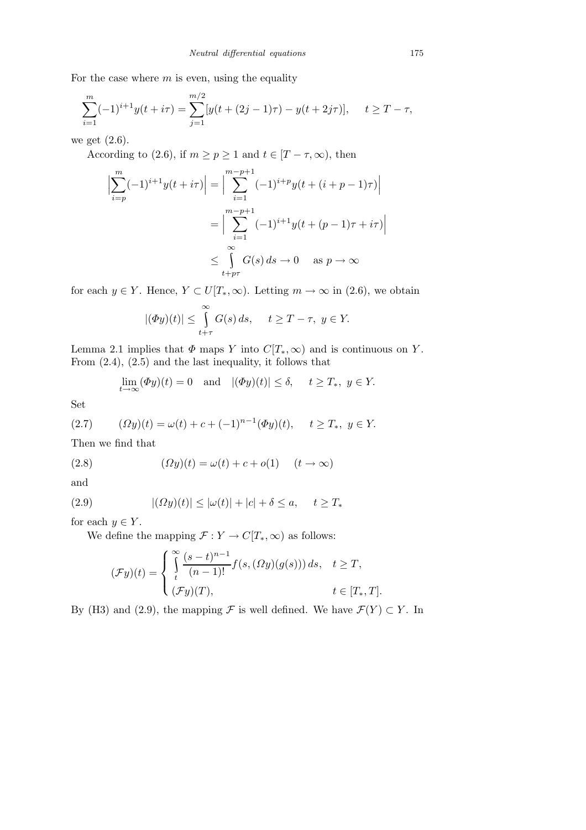For the case where  $m$  is even, using the equality

$$
\sum_{i=1}^{m} (-1)^{i+1} y(t+i\tau) = \sum_{j=1}^{m/2} [y(t+(2j-1)\tau) - y(t+2j\tau)], \quad t \geq T - \tau,
$$

we get (2.6).

According to (2.6), if  $m \ge p \ge 1$  and  $t \in [T - \tau, \infty)$ , then

$$
\left| \sum_{i=p}^{m} (-1)^{i+1} y(t+i\tau) \right| = \left| \sum_{i=1}^{m-p+1} (-1)^{i+p} y(t+(i+p-1)\tau) \right|
$$

$$
= \left| \sum_{i=1}^{m-p+1} (-1)^{i+1} y(t+(p-1)\tau+i\tau) \right|
$$

$$
\leq \int_{t+p\tau}^{\infty} G(s) ds \to 0 \quad \text{as } p \to \infty
$$

for each  $y \in Y$ . Hence,  $Y \subset U[T_*,\infty)$ . Letting  $m \to \infty$  in (2.6), we obtain

$$
|(\Phi y)(t)| \le \int_{t+\tau}^{\infty} G(s) \, ds, \quad t \ge T - \tau, \ y \in Y.
$$

Lemma 2.1 implies that  $\Phi$  maps Y into  $C[T_*,\infty)$  and is continuous on Y. From (2.4), (2.5) and the last inequality, it follows that

$$
\lim_{t \to \infty} (\Phi y)(t) = 0 \quad \text{and} \quad |(\Phi y)(t)| \le \delta, \quad t \ge T_*, \ y \in Y.
$$

Set

(2.7) 
$$
(\Omega y)(t) = \omega(t) + c + (-1)^{n-1}(\Phi y)(t), \quad t \ge T_*, \ y \in Y.
$$

Then we find that

(2.8) 
$$
(\Omega y)(t) = \omega(t) + c + o(1) \quad (t \to \infty)
$$

and

(2.9) 
$$
|(Dy)(t)| \leq |\omega(t)| + |c| + \delta \leq a, \quad t \geq T_*
$$

for each  $y \in Y$ .

We define the mapping  $\mathcal{F}: Y \to C[T_*,\infty)$  as follows:

$$
(\mathcal{F}y)(t) = \begin{cases} \int_{t}^{\infty} \frac{(s-t)^{n-1}}{(n-1)!} f(s,(\Omega y)(g(s))) ds, & t \geq T, \\ (\mathcal{F}y)(T), & t \in [T_*,T]. \end{cases}
$$

By (H3) and (2.9), the mapping  $\mathcal F$  is well defined. We have  $\mathcal F(Y) \subset Y$ . In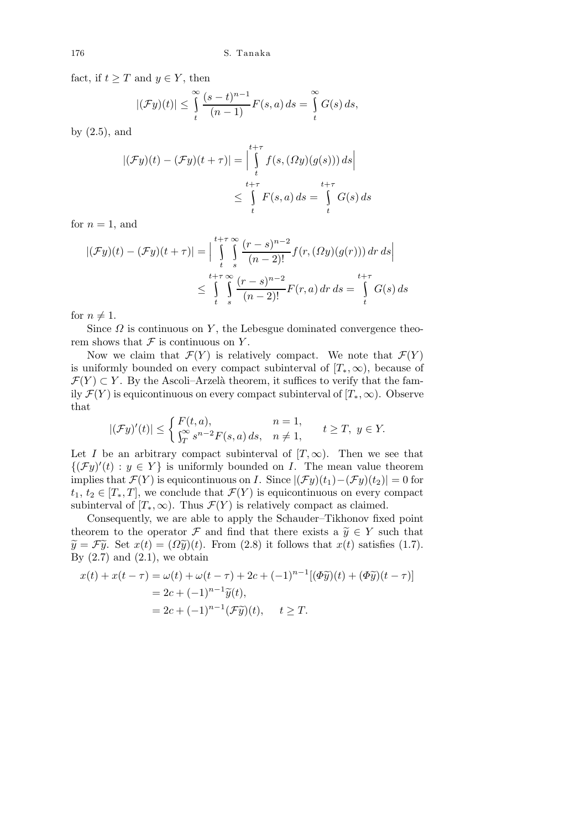fact, if  $t \geq T$  and  $y \in Y$ , then

$$
|(\mathcal{F}y)(t)| \leq \int_{t}^{\infty} \frac{(s-t)^{n-1}}{(n-1)} F(s,a) ds = \int_{t}^{\infty} G(s) ds,
$$

by (2.5), and

$$
|(\mathcal{F}y)(t) - (\mathcal{F}y)(t + \tau)| = \Big| \int_{t}^{t + \tau} f(s, (\Omega y)(g(s))) ds \Big|
$$
  

$$
\leq \int_{t}^{t + \tau} F(s, a) ds = \int_{t}^{t + \tau} G(s) ds
$$

for  $n = 1$ , and

$$
|(\mathcal{F}y)(t) - (\mathcal{F}y)(t+\tau)| = \Big| \int_{t-s}^{t+\tau} \int_{s}^{\infty} \frac{(r-s)^{n-2}}{(n-2)!} f(r,(\Omega y)(g(r))) dr ds \Big|
$$
  

$$
\leq \int_{t-s}^{t+\tau} \int_{s}^{\infty} \frac{(r-s)^{n-2}}{(n-2)!} F(r,a) dr ds = \int_{t}^{t+\tau} G(s) ds
$$

for  $n \neq 1$ .

Since  $\Omega$  is continuous on Y, the Lebesgue dominated convergence theorem shows that  $\mathcal F$  is continuous on Y.

Now we claim that  $\mathcal{F}(Y)$  is relatively compact. We note that  $\mathcal{F}(Y)$ is uniformly bounded on every compact subinterval of  $[T_*,\infty)$ , because of  $\mathcal{F}(Y) \subset Y$ . By the Ascoli–Arzelà theorem, it suffices to verify that the family  $\mathcal{F}(Y)$  is equicontinuous on every compact subinterval of  $[T_*,\infty)$ . Observe that

$$
|(\mathcal{F}y)'(t)| \le \begin{cases} F(t,a), & n=1, \\ \int_T^{\infty} s^{n-2} F(s,a) ds, & n \ne 1, \end{cases} \quad t \ge T, \ y \in Y.
$$

Let I be an arbitrary compact subinterval of  $[T, \infty)$ . Then we see that  ${({\mathcal{F}y})'(t) : y \in Y}$  is uniformly bounded on I. The mean value theorem implies that  $\mathcal{F}(Y)$  is equicontinuous on I. Since  $|(\mathcal{F}y)(t_1)-(\mathcal{F}y)(t_2)|=0$  for  $t_1, t_2 \in [T_*, T]$ , we conclude that  $\mathcal{F}(Y)$  is equicontinuous on every compact subinterval of  $[T_*,\infty)$ . Thus  $\mathcal{F}(Y)$  is relatively compact as claimed.

Consequently, we are able to apply the Schauder–Tikhonov fixed point theorem to the operator F and find that there exists a  $\widetilde{y} \in Y$  such that  $\widetilde{y} = \mathcal{F}\widetilde{y}$ . Set  $x(t) = (\Omega \widetilde{y})(t)$ . From (2.8) it follows that  $x(t)$  satisfies (1.7). By  $(2.7)$  and  $(2.1)$ , we obtain

$$
x(t) + x(t - \tau) = \omega(t) + \omega(t - \tau) + 2c + (-1)^{n-1} [(\Phi \widetilde{y})(t) + (\Phi \widetilde{y})(t - \tau)]
$$
  
= 2c + (-1)^{n-1} \widetilde{y}(t),  
= 2c + (-1)^{n-1} (\mathcal{F}\widetilde{y})(t), \quad t \geq T.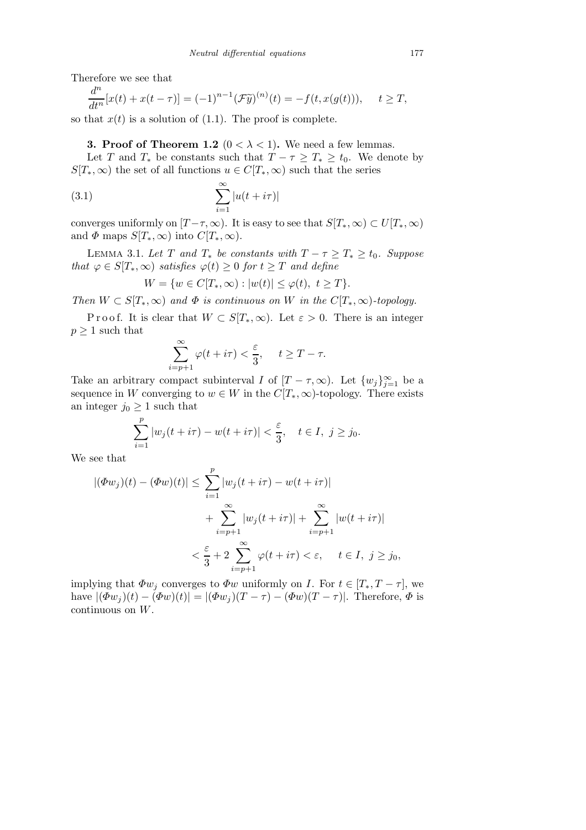Therefore we see that

$$
\frac{d^n}{dt^n}[x(t) + x(t-\tau)] = (-1)^{n-1} \left(\mathcal{F}\tilde{y}\right)^{(n)}(t) = -f(t, x(g(t))), \quad t \ge T,
$$

so that  $x(t)$  is a solution of (1.1). The proof is complete.

**3. Proof of Theorem 1.2** ( $0 < \lambda < 1$ ). We need a few lemmas.

Let T and  $T_*$  be constants such that  $T - \tau \geq T_* \geq t_0$ . We denote by  $S[T_*,\infty)$  the set of all functions  $u \in C[T_*,\infty)$  such that the series

(3.1) 
$$
\sum_{i=1}^{\infty} |u(t+i\tau)|
$$

converges uniformly on  $[T-\tau,\infty)$ . It is easy to see that  $S[T_*,\infty) \subset U[T_*,\infty)$ and  $\Phi$  maps  $S[T_*,\infty)$  into  $C[T_*,\infty)$ .

LEMMA 3.1. Let T and  $T_*$  be constants with  $T - \tau \geq T_* \geq t_0$ . Suppose that  $\varphi \in S[T_*,\infty)$  satisfies  $\varphi(t) \geq 0$  for  $t \geq T$  and define

$$
W = \{ w \in C[T_*, \infty) : |w(t)| \le \varphi(t), \ t \ge T \}.
$$

Then  $W \subset S[T_*,\infty)$  and  $\Phi$  is continuous on W in the  $C[T_*,\infty)$ -topology.

P r o o f. It is clear that  $W \subset S[T_*,\infty)$ . Let  $\varepsilon > 0$ . There is an integer  $p \geq 1$  such that

$$
\sum_{i=p+1}^{\infty} \varphi(t+i\tau) < \frac{\varepsilon}{3}, \quad t \geq T-\tau.
$$

Take an arbitrary compact subinterval I of  $[T - \tau, \infty)$ . Let  $\{w_j\}_{j=1}^{\infty}$  be a sequence in W converging to  $w \in W$  in the  $C[T_*,\infty)$ -topology. There exists an integer  $j_0 \geq 1$  such that

$$
\sum_{i=1}^p |w_j(t+i\tau)-w(t+i\tau)| < \frac{\varepsilon}{3}, \quad t \in I, \ j \ge j_0.
$$

We see that

$$
|(\Phi w_j)(t) - (\Phi w)(t)| \le \sum_{i=1}^p |w_j(t + i\tau) - w(t + i\tau)|
$$
  
+ 
$$
\sum_{i=p+1}^\infty |w_j(t + i\tau)| + \sum_{i=p+1}^\infty |w(t + i\tau)|
$$
  
< 
$$
< \frac{\varepsilon}{3} + 2 \sum_{i=p+1}^\infty \varphi(t + i\tau) < \varepsilon, \quad t \in I, \ j \ge j_0,
$$

implying that  $\Phi w_i$  converges to  $\Phi w$  uniformly on *I*. For  $t \in [T_*, T - \tau]$ , we have  $|(\Phi w_j)(t) - (\Phi w)(t)| = |(\Phi w_j)(T - \tau) - (\Phi w)(T - \tau)|$ . Therefore,  $\Phi$  is continuous on W.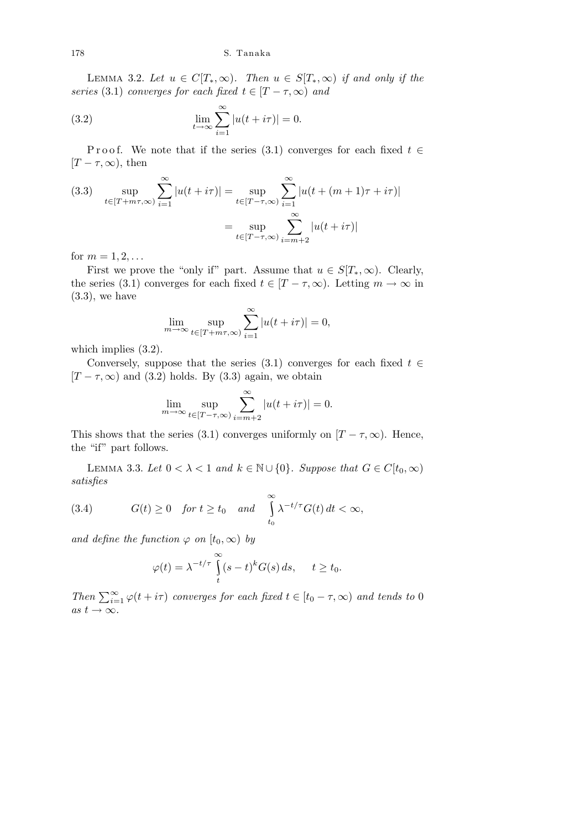LEMMA 3.2. Let  $u \in C[T_*,\infty)$ . Then  $u \in S[T_*,\infty)$  if and only if the series (3.1) converges for each fixed  $t \in [T - \tau, \infty)$  and

(3.2) 
$$
\lim_{t \to \infty} \sum_{i=1}^{\infty} |u(t + i\tau)| = 0.
$$

P r o o f. We note that if the series (3.1) converges for each fixed  $t \in$  $[T - \tau, \infty)$ , then

(3.3) 
$$
\sup_{t \in [T+m\tau,\infty)} \sum_{i=1}^{\infty} |u(t+i\tau)| = \sup_{t \in [T-\tau,\infty)} \sum_{i=1}^{\infty} |u(t+(m+1)\tau+i\tau)|
$$

$$
= \sup_{t \in [T-\tau,\infty)} \sum_{i=m+2}^{\infty} |u(t+i\tau)|
$$

for  $m = 1, 2, ...$ 

First we prove the "only if" part. Assume that  $u \in S[T_*,\infty)$ . Clearly, the series (3.1) converges for each fixed  $t \in [T - \tau, \infty)$ . Letting  $m \to \infty$  in  $(3.3)$ , we have

$$
\lim_{m \to \infty} \sup_{t \in [T+m\tau,\infty)} \sum_{i=1}^{\infty} |u(t+i\tau)| = 0,
$$

which implies  $(3.2)$ .

Conversely, suppose that the series (3.1) converges for each fixed  $t \in$  $[T - \tau, \infty)$  and (3.2) holds. By (3.3) again, we obtain

$$
\lim_{m \to \infty} \sup_{t \in [T - \tau, \infty)} \sum_{i=m+2}^{\infty} |u(t + i\tau)| = 0.
$$

This shows that the series (3.1) converges uniformly on  $[T - \tau, \infty)$ . Hence, the "if" part follows.

LEMMA 3.3. Let  $0 < \lambda < 1$  and  $k \in \mathbb{N} \cup \{0\}$ . Suppose that  $G \in C[t_0, \infty)$ satisfies

(3.4) 
$$
G(t) \ge 0
$$
 for  $t \ge t_0$  and  $\int_{t_0}^{\infty} \lambda^{-t/\tau} G(t) dt < \infty$ ,

and define the function  $\varphi$  on  $[t_0, \infty)$  by

$$
\varphi(t) = \lambda^{-t/\tau} \int_{t}^{\infty} (s-t)^{k} G(s) ds, \quad t \ge t_0.
$$

Then  $\sum_{i=1}^{\infty} \varphi(t+i\tau)$  converges for each fixed  $t \in [t_0 - \tau, \infty)$  and tends to 0 as  $t \to \infty$ .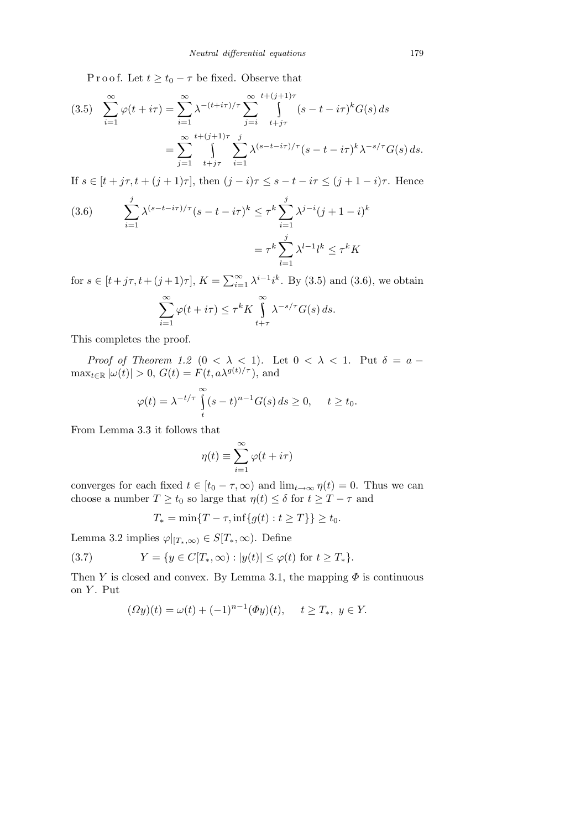P r o o f. Let  $t \geq t_0 - \tau$  be fixed. Observe that

$$
(3.5) \sum_{i=1}^{\infty} \varphi(t + i\tau) = \sum_{i=1}^{\infty} \lambda^{-(t+i\tau)/\tau} \sum_{j=i}^{\infty} \int_{t+j\tau}^{t+(j+1)\tau} (s - t - i\tau)^k G(s) ds
$$
  

$$
= \sum_{j=1}^{\infty} \int_{t+j\tau}^{t+(j+1)\tau} \sum_{i=1}^{j} \lambda^{(s-t-i\tau)/\tau} (s - t - i\tau)^k \lambda^{-s/\tau} G(s) ds.
$$

If  $s \in [t + j\tau, t + (j + 1)\tau]$ , then  $(j - i)\tau \leq s - t - i\tau \leq (j + 1 - i)\tau$ . Hence

(3.6) 
$$
\sum_{i=1}^{j} \lambda^{(s-t-i\tau)/\tau} (s-t-i\tau)^k \leq \tau^k \sum_{i=1}^{j} \lambda^{j-i} (j+1-i)^k
$$

$$
= \tau^k \sum_{l=1}^{j} \lambda^{l-1} l^k \leq \tau^k K
$$

for  $s \in [t + j\tau, t + (j + 1)\tau]$ ,  $K = \sum_{i=1}^{\infty} \lambda^{i-1} i^k$ . By (3.5) and (3.6), we obtain

$$
\sum_{i=1}^{\infty} \varphi(t + i\tau) \leq \tau^k K \int_{t+\tau}^{\infty} \lambda^{-s/\tau} G(s) ds.
$$

This completes the proof.

Proof of Theorem 1.2 ( $0 < \lambda < 1$ ). Let  $0 < \lambda < 1$ . Put  $\delta = a \max_{t \in \mathbb{R}} |\omega(t)| > 0, G(t) = \dot{F}(t, a\lambda^{g(t)/\tau}),$  and

$$
\varphi(t) = \lambda^{-t/\tau} \int_{t}^{\infty} (s-t)^{n-1} G(s) ds \ge 0, \quad t \ge t_0.
$$

From Lemma 3.3 it follows that

$$
\eta(t) \equiv \sum_{i=1}^{\infty} \varphi(t + i\tau)
$$

converges for each fixed  $t \in [t_0 - \tau, \infty)$  and  $\lim_{t \to \infty} \eta(t) = 0$ . Thus we can choose a number  $T \ge t_0$  so large that  $\eta(t) \le \delta$  for  $t \ge T - \tau$  and

$$
T_* = \min\{T - \tau, \inf\{g(t) : t \ge T\}\} \ge t_0.
$$

Lemma 3.2 implies  $\varphi|_{[T_*,\infty)} \in S[T_*,\infty)$ . Define

(3.7) 
$$
Y = \{ y \in C[T_*, \infty) : |y(t)| \le \varphi(t) \text{ for } t \ge T_* \}.
$$

Then Y is closed and convex. By Lemma 3.1, the mapping  $\Phi$  is continuous on  $Y$ . Put

$$
(\Omega y)(t) = \omega(t) + (-1)^{n-1} (\Phi y)(t), \quad t \ge T_*, \ y \in Y.
$$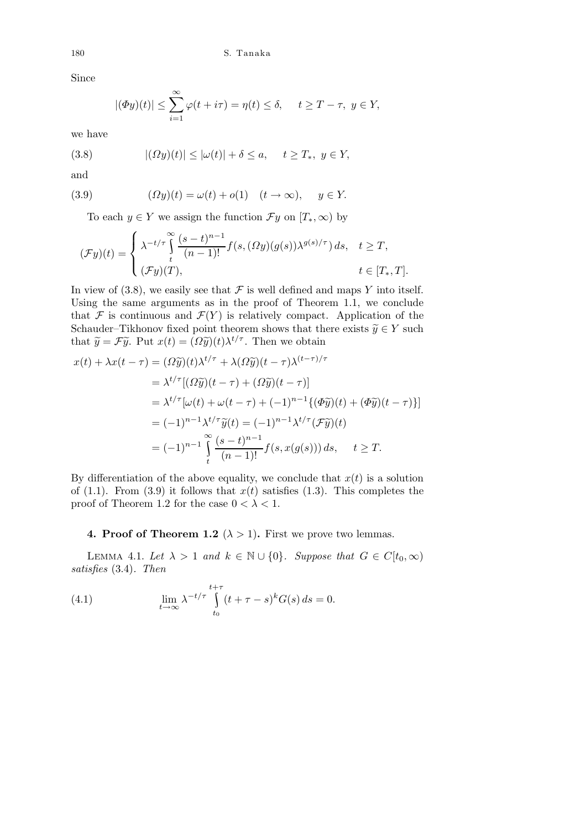Since

$$
|(\Phi y)(t)| \le \sum_{i=1}^{\infty} \varphi(t + i\tau) = \eta(t) \le \delta, \quad t \ge T - \tau, \ y \in Y,
$$

we have

(3.8) 
$$
|(Dy)(t)| \leq |\omega(t)| + \delta \leq a, \quad t \geq T_*, \ y \in Y,
$$

and

(3.9) 
$$
(\Omega y)(t) = \omega(t) + o(1) \quad (t \to \infty), \quad y \in Y.
$$

To each  $y \in Y$  we assign the function  $\mathcal{F}y$  on  $[T_*,\infty)$  by

$$
(\mathcal{F}y)(t) = \begin{cases} \lambda^{-t/\tau} \int_{t}^{\infty} \frac{(s-t)^{n-1}}{(n-1)!} f(s,(\Omega y)(g(s))\lambda^{g(s)/\tau}) ds, & t \geq T, \\ (\mathcal{F}y)(T), & t \in [T_*,T]. \end{cases}
$$

In view of (3.8), we easily see that  $\mathcal F$  is well defined and maps Y into itself. Using the same arguments as in the proof of Theorem 1.1, we conclude that F is continuous and  $\mathcal{F}(Y)$  is relatively compact. Application of the Schauder–Tikhonov fixed point theorem shows that there exists  $\widetilde{y} \in Y$  such that  $\widetilde{y} = \mathcal{F}\widetilde{y}$ . Put  $x(t) = (\Omega \widetilde{y})(t) \lambda^{t/\tau}$ . Then we obtain

$$
x(t) + \lambda x(t - \tau) = (\Omega \tilde{y})(t)\lambda^{t/\tau} + \lambda(\Omega \tilde{y})(t - \tau)\lambda^{(t-\tau)/\tau}
$$
  
\n
$$
= \lambda^{t/\tau} [(\Omega \tilde{y})(t - \tau) + (\Omega \tilde{y})(t - \tau)]
$$
  
\n
$$
= \lambda^{t/\tau} [\omega(t) + \omega(t - \tau) + (-1)^{n-1} \{ (\Phi \tilde{y})(t) + (\Phi \tilde{y})(t - \tau) \}]
$$
  
\n
$$
= (-1)^{n-1} \lambda^{t/\tau} \tilde{y}(t) = (-1)^{n-1} \lambda^{t/\tau} (\mathcal{F} \tilde{y})(t)
$$
  
\n
$$
= (-1)^{n-1} \int_{t}^{\infty} \frac{(s - t)^{n-1}}{(n - 1)!} f(s, x(g(s))) ds, \quad t \geq T.
$$

By differentiation of the above equality, we conclude that  $x(t)$  is a solution of (1.1). From (3.9) it follows that  $x(t)$  satisfies (1.3). This completes the proof of Theorem 1.2 for the case  $0 < \lambda < 1$ .

## 4. Proof of Theorem 1.2 ( $\lambda > 1$ ). First we prove two lemmas.

LEMMA 4.1. Let  $\lambda > 1$  and  $k \in \mathbb{N} \cup \{0\}$ . Suppose that  $G \in C[t_0, \infty)$ satisfies (3.4). Then

(4.1) 
$$
\lim_{t \to \infty} \lambda^{-t/\tau} \int_{t_0}^{t+\tau} (t + \tau - s)^k G(s) ds = 0.
$$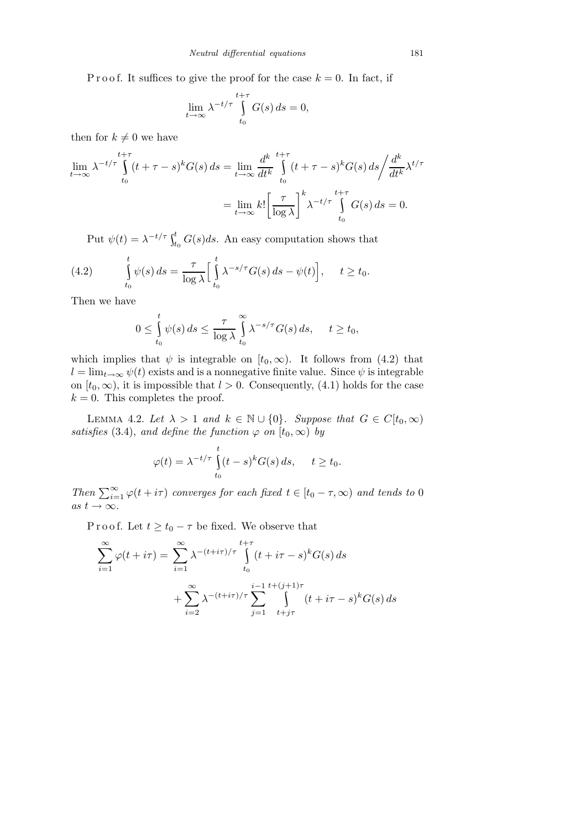P r o o f. It suffices to give the proof for the case  $k = 0$ . In fact, if

$$
\lim_{t \to \infty} \lambda^{-t/\tau} \int_{t_0}^{t+\tau} G(s) \, ds = 0,
$$

then for  $k \neq 0$  we have

$$
\lim_{t \to \infty} \lambda^{-t/\tau} \int_{t_0}^{t+\tau} (t+\tau-s)^k G(s) ds = \lim_{t \to \infty} \frac{d^k}{dt^k} \int_{t_0}^{t+\tau} (t+\tau-s)^k G(s) ds \bigg/ \frac{d^k}{dt^k} \lambda^{t/\tau}
$$

$$
= \lim_{t \to \infty} k! \bigg[ \frac{\tau}{\log \lambda} \bigg]^k \lambda^{-t/\tau} \int_{t_0}^{t+\tau} G(s) ds = 0.
$$

Put  $\psi(t) = \lambda^{-t/\tau} \int_{t_0}^t G(s) ds$ . An easy computation shows that

(4.2) 
$$
\int_{t_0}^t \psi(s) ds = \frac{\tau}{\log \lambda} \Big[ \int_{t_0}^t \lambda^{-s/\tau} G(s) ds - \psi(t) \Big], \quad t \ge t_0.
$$

Then we have

$$
0 \leq \int_{t_0}^t \psi(s) ds \leq \frac{\tau}{\log \lambda} \int_{t_0}^{\infty} \lambda^{-s/\tau} G(s) ds, \quad t \geq t_0,
$$

which implies that  $\psi$  is integrable on  $[t_0, \infty)$ . It follows from (4.2) that  $l = \lim_{t\to\infty} \psi(t)$  exists and is a nonnegative finite value. Since  $\psi$  is integrable on  $[t_0, \infty)$ , it is impossible that  $l > 0$ . Consequently, (4.1) holds for the case  $k = 0$ . This completes the proof.

LEMMA 4.2. Let  $\lambda > 1$  and  $k \in \mathbb{N} \cup \{0\}$ . Suppose that  $G \in C[t_0, \infty)$ satisfies (3.4), and define the function  $\varphi$  on  $[t_0, \infty)$  by

$$
\varphi(t) = \lambda^{-t/\tau} \int_{t_0}^t (t-s)^k G(s) \, ds, \quad t \ge t_0.
$$

Then  $\sum_{i=1}^{\infty} \varphi(t+i\tau)$  converges for each fixed  $t \in [t_0 - \tau, \infty)$  and tends to 0 as  $t \rightarrow \infty$ .

P r o o f. Let  $t \geq t_0 - \tau$  be fixed. We observe that

$$
\sum_{i=1}^{\infty} \varphi(t+i\tau) = \sum_{i=1}^{\infty} \lambda^{-(t+i\tau)/\tau} \int_{t_0}^{t+\tau} (t+i\tau-s)^k G(s) ds
$$

$$
+ \sum_{i=2}^{\infty} \lambda^{-(t+i\tau)/\tau} \sum_{j=1}^{i-1} \int_{t+j\tau}^{t+(j+1)\tau} (t+i\tau-s)^k G(s) ds
$$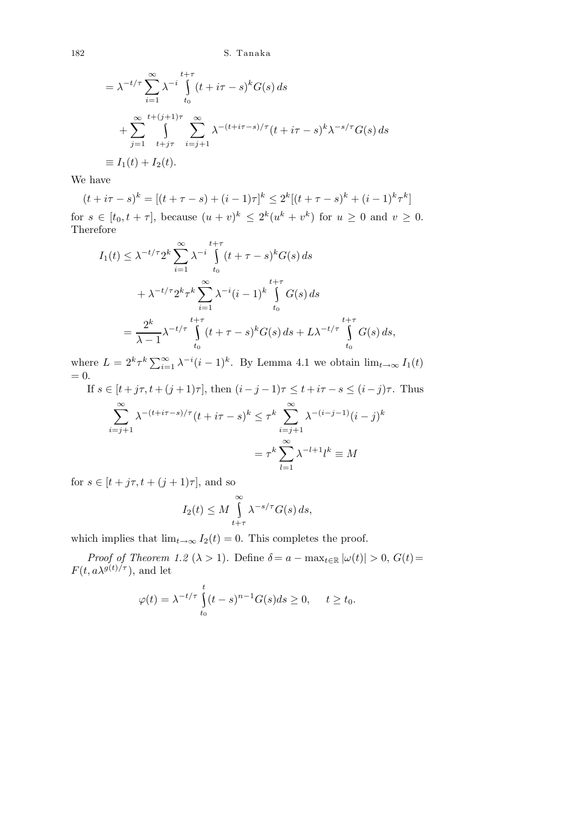$$
= \lambda^{-t/\tau} \sum_{i=1}^{\infty} \lambda^{-i} \int_{t_0}^{t+\tau} (t + i\tau - s)^k G(s) ds
$$
  
+ 
$$
\sum_{j=1}^{\infty} \int_{t+j\tau}^{t+(j+1)\tau} \sum_{i=j+1}^{\infty} \lambda^{-(t+i\tau - s)/\tau} (t + i\tau - s)^k \lambda^{-s/\tau} G(s) ds
$$
  

$$
\equiv I_1(t) + I_2(t).
$$

We have

$$
(t + i\tau - s)^k = [(t + \tau - s) + (i - 1)\tau]^k \le 2^k [(t + \tau - s)^k + (i - 1)^k \tau^k]
$$

for  $s \in [t_0, t + \tau]$ , because  $(u + v)^k \leq 2^k (u^k + v^k)$  for  $u \geq 0$  and  $v \geq 0$ . Therefore

$$
I_1(t) \leq \lambda^{-t/\tau} 2^k \sum_{i=1}^{\infty} \lambda^{-i} \int_{t_0}^{t+\tau} (t+\tau-s)^k G(s) ds
$$
  
+ 
$$
\lambda^{-t/\tau} 2^k \tau^k \sum_{i=1}^{\infty} \lambda^{-i} (i-1)^k \int_{t_0}^{t+\tau} G(s) ds
$$
  
= 
$$
\frac{2^k}{\lambda - 1} \lambda^{-t/\tau} \int_{t_0}^{t+\tau} (t+\tau-s)^k G(s) ds + L\lambda^{-t/\tau} \int_{t_0}^{t+\tau} G(s) ds,
$$

where  $L = 2^k \tau^k \sum_{i=1}^{\infty} \lambda^{-i} (i-1)^k$ . By Lemma 4.1 we obtain  $\lim_{t \to \infty} I_1(t)$  $= 0.$ 

If 
$$
s \in [t + j\tau, t + (j+1)\tau]
$$
, then  $(i - j - 1)\tau \le t + i\tau - s \le (i - j)\tau$ . Thus

$$
\sum_{i=j+1}^{\infty} \lambda^{-(t+i\tau-s)/\tau} (t+i\tau-s)^k \leq \tau^k \sum_{i=j+1}^{\infty} \lambda^{-(i-j-1)} (i-j)^k
$$

$$
= \tau^k \sum_{l=1}^{\infty} \lambda^{-l+1} l^k \equiv M
$$

for  $s \in [t + j\tau, t + (j + 1)\tau]$ , and so

$$
I_2(t) \le M \int_{t+\tau}^{\infty} \lambda^{-s/\tau} G(s) ds,
$$

which implies that  $\lim_{t\to\infty} I_2(t) = 0$ . This completes the proof.

*Proof of Theorem 1.2* ( $\lambda > 1$ ). Define  $\delta = a - \max_{t \in \mathbb{R}} |\omega(t)| > 0$ ,  $G(t) =$  $F(t, a\lambda^{g(t)/\tau})$ , and let

$$
\varphi(t) = \lambda^{-t/\tau} \int_{t_0}^t (t-s)^{n-1} G(s) ds \ge 0, \quad t \ge t_0.
$$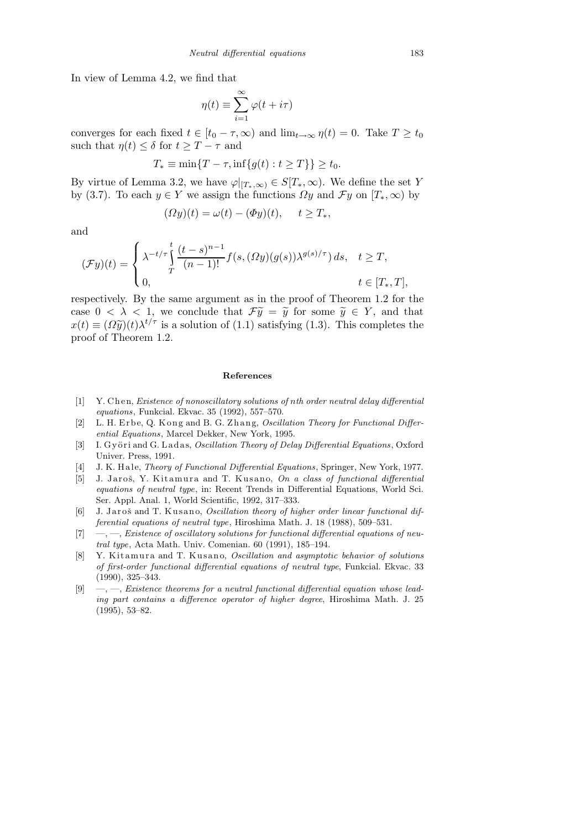In view of Lemma 4.2, we find that

$$
\eta(t) \equiv \sum_{i=1}^{\infty} \varphi(t + i\tau)
$$

converges for each fixed  $t \in [t_0 - \tau, \infty)$  and  $\lim_{t\to\infty} \eta(t) = 0$ . Take  $T \ge t_0$ such that  $\eta(t) \leq \delta$  for  $t \geq T - \tau$  and

$$
T_* \equiv \min\{T - \tau, \inf\{g(t) : t \ge T\}\} \ge t_0.
$$

By virtue of Lemma 3.2, we have  $\varphi|_{[T_*,\infty)} \in S[T_*,\infty)$ . We define the set Y by (3.7). To each  $y \in Y$  we assign the functions  $\Omega y$  and  $\mathcal{F}y$  on  $[T_*,\infty)$  by

$$
(\Omega y)(t) = \omega(t) - (\Phi y)(t), \quad t \ge T_*,
$$

and

$$
(\mathcal{F}y)(t) = \begin{cases} \lambda^{-t/\tau} \int_{T}^{t} \frac{(t-s)^{n-1}}{(n-1)!} f(s,(\Omega y)(g(s))\lambda^{g(s)/\tau}) ds, & t \geq T, \\ 0, & t \in [T_*,T], \end{cases}
$$

respectively. By the same argument as in the proof of Theorem 1.2 for the case  $0 < \lambda < 1$ , we conclude that  $\mathcal{F}\tilde{y} = \tilde{y}$  for some  $\tilde{y} \in Y$ , and that  $x(t) \equiv (\Omega \tilde{y})(t) \lambda^{t/\tau}$  is a solution of (1.1) satisfying (1.3). This completes the proof of Theorem 1.2.

## **References**

- [1] Y. Chen, *Existence of nonoscillatory solutions of nth order neutral delay differential equations*, Funkcial. Ekvac. 35 (1992), 557–570.
- [2] L. H. Erbe, Q. Kong and B. G. Zhang, *Oscillation Theory for Functional Differential Equations*, Marcel Dekker, New York, 1995.
- [3] I. G y öri and G. Ladas, *Oscillation Theory of Delay Differential Equations*, Oxford Univer. Press, 1991.
- [4] J. K. H al e, *Theory of Functional Differential Equations*, Springer, New York, 1977.
- [5] J. Jaroš, Y. Kitamura and T. Kusano, *On a class of functional differential equations of neutral type*, in: Recent Trends in Differential Equations, World Sci. Ser. Appl. Anal. 1, World Scientific, 1992, 317–333.
- [6] J. Jaroš and T. Kusano, *Oscillation theory of higher order linear functional differential equations of neutral type*, Hiroshima Math. J. 18 (1988), 509–531.
- [7] —, —, *Existence of oscillatory solutions for functional differential equations of neutral type*, Acta Math. Univ. Comenian. 60 (1991), 185–194.
- [8] Y. Kitamura and T. Kusano, *Oscillation and asymptotic behavior of solutions of first-order functional differential equations of neutral type*, Funkcial. Ekvac. 33 (1990), 325–343.
- [9] —, —, *Existence theorems for a neutral functional differential equation whose leading part contains a difference operator of higher degree*, Hiroshima Math. J. 25 (1995), 53–82.